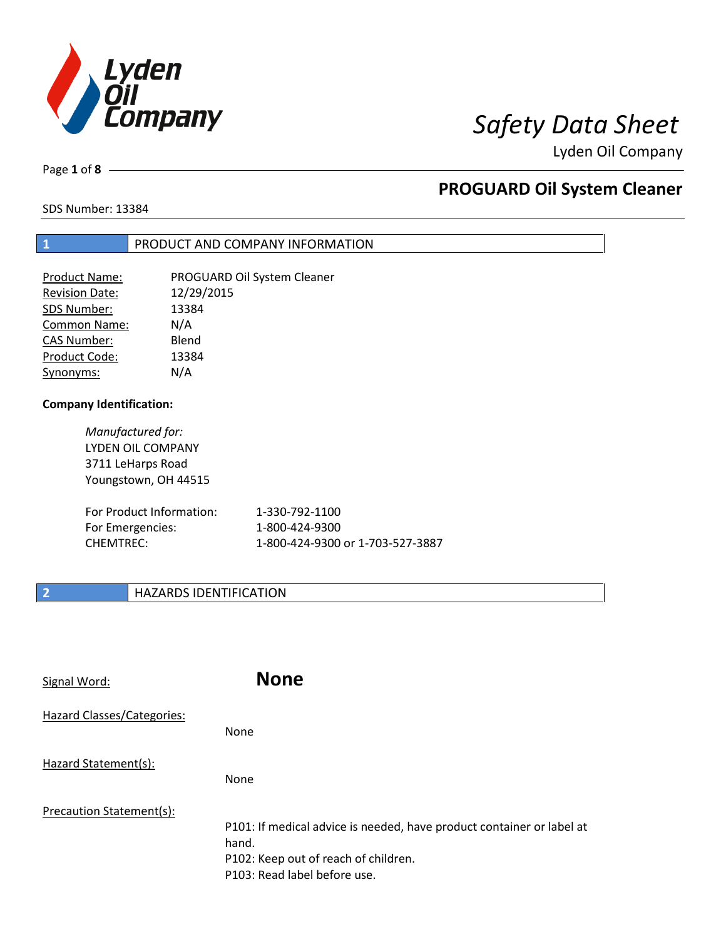

Page **1** of **8**

## **PROGUARD Oil System Cleaner**

SDS Number: 13384

## **1** PRODUCT AND COMPANY INFORMATION

| <b>Product Name:</b>  | PROGUARD Oil System Cleaner |
|-----------------------|-----------------------------|
| <b>Revision Date:</b> | 12/29/2015                  |
| SDS Number:           | 13384                       |
| Common Name:          | N/A                         |
| <b>CAS Number:</b>    | Blend                       |
| Product Code:         | 13384                       |
| Synonyms:             | N/A                         |

### **Company Identification:**

| Manufactured for:        |
|--------------------------|
| <b>LYDEN OIL COMPANY</b> |
| 3711 LeHarps Road        |
| Youngstown, OH 44515     |
|                          |

| For Product Information: | 1-330-792-1100                   |
|--------------------------|----------------------------------|
| For Emergencies:         | 1-800-424-9300                   |
| CHEMTREC:                | 1-800-424-9300 or 1-703-527-3887 |

### **2 HAZARDS IDENTIFICATION**

| Signal Word:               | <b>None</b>                                                                                                                                            |
|----------------------------|--------------------------------------------------------------------------------------------------------------------------------------------------------|
| Hazard Classes/Categories: | None                                                                                                                                                   |
| Hazard Statement(s):       | <b>None</b>                                                                                                                                            |
| Precaution Statement(s):   | P101: If medical advice is needed, have product container or label at<br>hand.<br>P102: Keep out of reach of children.<br>P103: Read label before use. |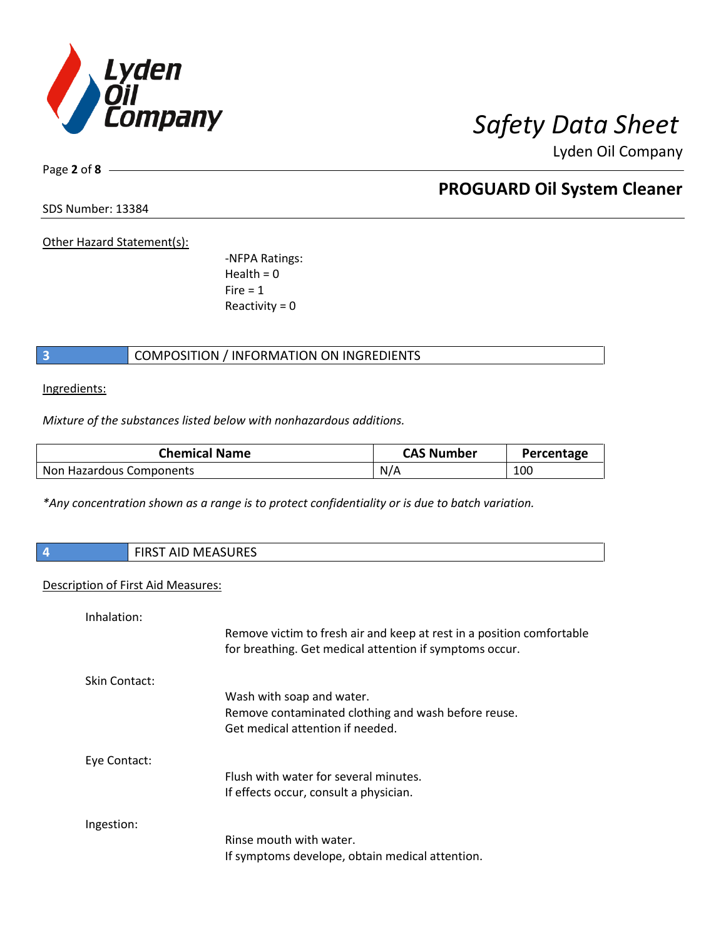

Page **2** of **8**

## **PROGUARD Oil System Cleaner**

SDS Number: 13384

Other Hazard Statement(s):

-NFPA Ratings:  $Health = 0$  $Fire = 1$ Reactivity  $= 0$ 

### **3** COMPOSITION / INFORMATION ON INGREDIENTS

Ingredients:

*Mixture of the substances listed below with nonhazardous additions.*

| <b>Chemical Name</b>     | <b>CAS Number</b> | Percentage |
|--------------------------|-------------------|------------|
| Non Hazardous Components | N/A               | 100        |

*\*Any concentration shown as a range is to protect confidentiality or is due to batch variation.*

| <b>FIRST AID MEASURES</b><br>4     |                                                                                                                                  |  |
|------------------------------------|----------------------------------------------------------------------------------------------------------------------------------|--|
| Description of First Aid Measures: |                                                                                                                                  |  |
| Inhalation:                        |                                                                                                                                  |  |
|                                    | Remove victim to fresh air and keep at rest in a position comfortable<br>for breathing. Get medical attention if symptoms occur. |  |
| Skin Contact:                      |                                                                                                                                  |  |
| Wash with soap and water.          |                                                                                                                                  |  |
|                                    | Remove contaminated clothing and wash before reuse.                                                                              |  |
|                                    | Get medical attention if needed.                                                                                                 |  |
| Eye Contact:                       |                                                                                                                                  |  |
|                                    | Flush with water for several minutes.                                                                                            |  |
|                                    | If effects occur, consult a physician.                                                                                           |  |
| Ingestion:                         |                                                                                                                                  |  |
|                                    | Rinse mouth with water.                                                                                                          |  |
|                                    | If symptoms develope, obtain medical attention.                                                                                  |  |
|                                    |                                                                                                                                  |  |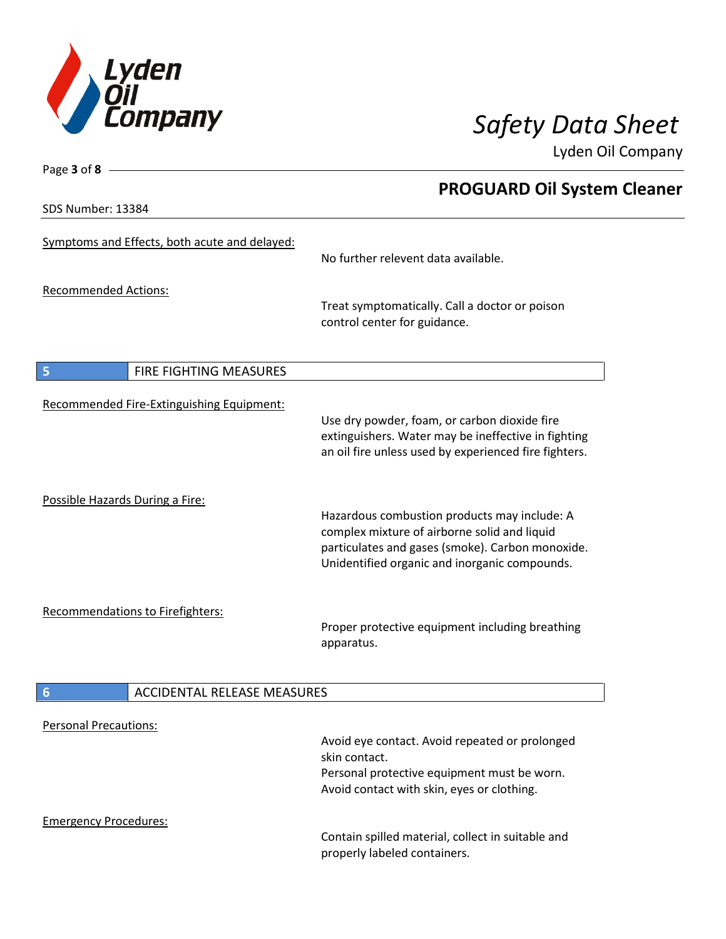

**PROGUARD Oil System Cleaner**

Lyden Oil Company

SDS Number: 13384

Page **3** of **8**

| Symptoms and Effects, both acute and delayed: | No further relevent data available.                                                                                                                                                               |
|-----------------------------------------------|---------------------------------------------------------------------------------------------------------------------------------------------------------------------------------------------------|
| <b>Recommended Actions:</b>                   | Treat symptomatically. Call a doctor or poison<br>control center for guidance.                                                                                                                    |
| 5<br>FIRE FIGHTING MEASURES                   |                                                                                                                                                                                                   |
| Recommended Fire-Extinguishing Equipment:     | Use dry powder, foam, or carbon dioxide fire<br>extinguishers. Water may be ineffective in fighting<br>an oil fire unless used by experienced fire fighters.                                      |
| Possible Hazards During a Fire:               | Hazardous combustion products may include: A<br>complex mixture of airborne solid and liquid<br>particulates and gases (smoke). Carbon monoxide.<br>Unidentified organic and inorganic compounds. |
| <b>Recommendations to Firefighters:</b>       | Proper protective equipment including breathing<br>apparatus.                                                                                                                                     |
| <b>ACCIDENTAL RELEASE MEASURES</b><br>6       |                                                                                                                                                                                                   |
| <b>Personal Precautions:</b>                  | Avoid eye contact. Avoid repeated or prolonged<br>الطمام مستقله والمستقل المراجع                                                                                                                  |

skin contact. Personal protective equipment must be worn. Avoid contact with skin, eyes or clothing.

Emergency Procedures:

Contain spilled material, collect in suitable and properly labeled containers.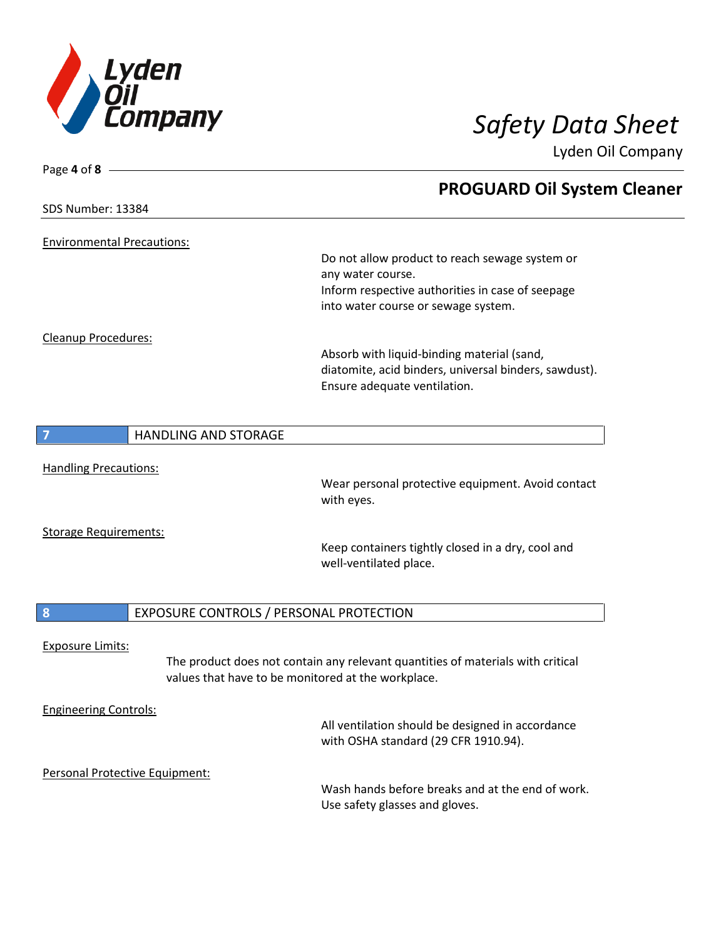

| Page 4 of 8                       |                                                    |                                                                                 |
|-----------------------------------|----------------------------------------------------|---------------------------------------------------------------------------------|
|                                   |                                                    | <b>PROGUARD Oil System Cleaner</b>                                              |
| SDS Number: 13384                 |                                                    |                                                                                 |
|                                   |                                                    |                                                                                 |
| <b>Environmental Precautions:</b> |                                                    |                                                                                 |
|                                   |                                                    | Do not allow product to reach sewage system or<br>any water course.             |
|                                   |                                                    | Inform respective authorities in case of seepage                                |
|                                   |                                                    | into water course or sewage system.                                             |
|                                   |                                                    |                                                                                 |
| Cleanup Procedures:               |                                                    | Absorb with liquid-binding material (sand,                                      |
|                                   |                                                    | diatomite, acid binders, universal binders, sawdust).                           |
|                                   |                                                    | Ensure adequate ventilation.                                                    |
|                                   |                                                    |                                                                                 |
| 7                                 | <b>HANDLING AND STORAGE</b>                        |                                                                                 |
|                                   |                                                    |                                                                                 |
| <b>Handling Precautions:</b>      |                                                    |                                                                                 |
|                                   |                                                    | Wear personal protective equipment. Avoid contact                               |
|                                   |                                                    | with eyes.                                                                      |
| <b>Storage Requirements:</b>      |                                                    |                                                                                 |
|                                   |                                                    | Keep containers tightly closed in a dry, cool and                               |
|                                   |                                                    | well-ventilated place.                                                          |
|                                   |                                                    |                                                                                 |
| 8                                 | EXPOSURE CONTROLS / PERSONAL PROTECTION            |                                                                                 |
|                                   |                                                    |                                                                                 |
| <b>Exposure Limits:</b>           |                                                    |                                                                                 |
|                                   | values that have to be monitored at the workplace. | The product does not contain any relevant quantities of materials with critical |
|                                   |                                                    |                                                                                 |
| <b>Engineering Controls:</b>      |                                                    |                                                                                 |
|                                   |                                                    | All ventilation should be designed in accordance                                |
|                                   |                                                    | with OSHA standard (29 CFR 1910.94).                                            |
|                                   | Personal Protective Equipment:                     |                                                                                 |
|                                   |                                                    | Wash hands before breaks and at the end of work.                                |
|                                   |                                                    | Use safety glasses and gloves.                                                  |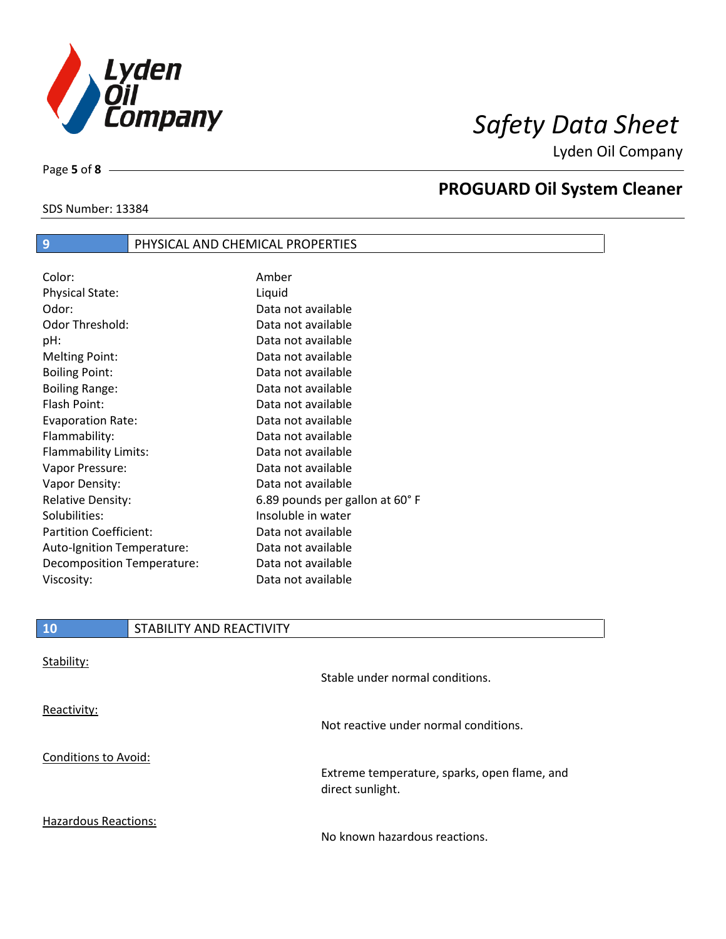

SDS Number: 13384

Page **5** of **8**

# **PROGUARD Oil System Cleaner**

| Color:                        | Amber                          |
|-------------------------------|--------------------------------|
| <b>Physical State:</b>        | Liquid                         |
| Odor:                         | Data not available             |
| Odor Threshold:               | Data not available             |
| pH:                           | Data not available             |
| <b>Melting Point:</b>         | Data not available             |
| <b>Boiling Point:</b>         | Data not available             |
| <b>Boiling Range:</b>         | Data not available             |
| Flash Point:                  | Data not available             |
| <b>Evaporation Rate:</b>      | Data not available             |
| Flammability:                 | Data not available             |
| Flammability Limits:          | Data not available             |
| Vapor Pressure:               | Data not available             |
| Vapor Density:                | Data not available             |
| <b>Relative Density:</b>      | 6.89 pounds per gallon at 60°F |
| Solubilities:                 | Insoluble in water             |
| <b>Partition Coefficient:</b> | Data not available             |
| Auto-Ignition Temperature:    | Data not available             |
| Decomposition Temperature:    | Data not available             |
| Viscosity:                    | Data not available             |

**9 PHYSICAL AND CHEMICAL PROPERTIES** 

| <b>10</b>                   | STABILITY AND REACTIVITY |                                                                  |
|-----------------------------|--------------------------|------------------------------------------------------------------|
| Stability:                  |                          | Stable under normal conditions.                                  |
| Reactivity:                 |                          | Not reactive under normal conditions.                            |
| <b>Conditions to Avoid:</b> |                          | Extreme temperature, sparks, open flame, and<br>direct sunlight. |

Hazardous Reactions:

No known hazardous reactions.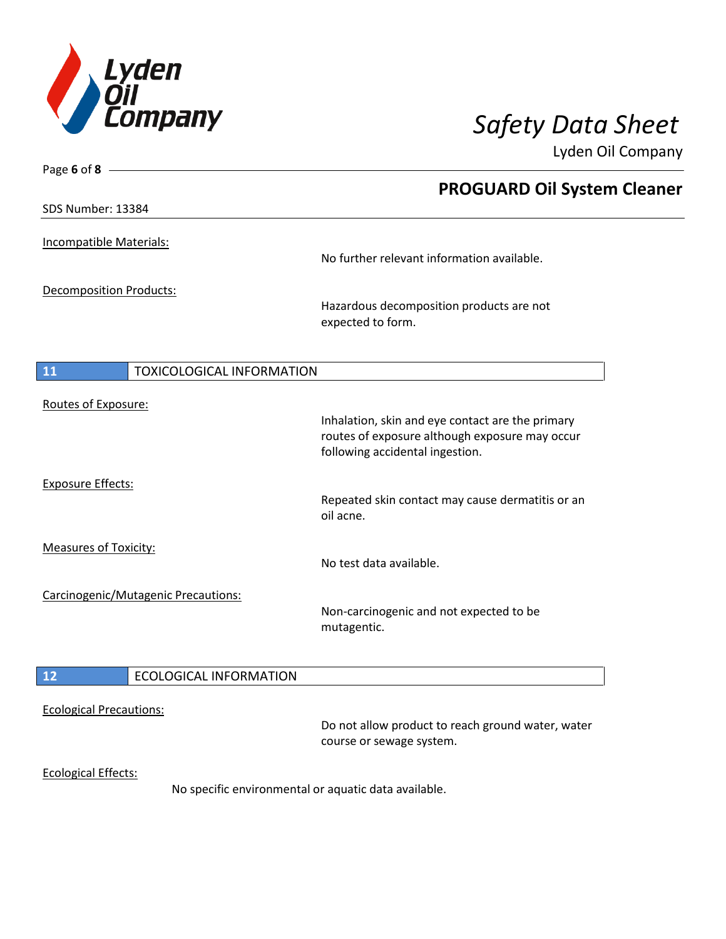

| Page 6 of 8 $\_\_\_\$                         |                                                                                                                                       |
|-----------------------------------------------|---------------------------------------------------------------------------------------------------------------------------------------|
|                                               | <b>PROGUARD Oil System Cleaner</b>                                                                                                    |
| SDS Number: 13384                             |                                                                                                                                       |
| Incompatible Materials:                       | No further relevant information available.                                                                                            |
| <b>Decomposition Products:</b>                | Hazardous decomposition products are not<br>expected to form.                                                                         |
| <b>TOXICOLOGICAL INFORMATION</b><br><b>11</b> |                                                                                                                                       |
| Routes of Exposure:                           | Inhalation, skin and eye contact are the primary<br>routes of exposure although exposure may occur<br>following accidental ingestion. |
| <b>Exposure Effects:</b>                      | Repeated skin contact may cause dermatitis or an<br>oil acne.                                                                         |
| <b>Measures of Toxicity:</b>                  | No test data available.                                                                                                               |
| Carcinogenic/Mutagenic Precautions:           | Non-carcinogenic and not expected to be<br>mutagentic.                                                                                |
| <b>ECOLOGICAL INFORMATION</b><br>12           |                                                                                                                                       |
| <b>Ecological Precautions:</b>                | Do not allow product to reach ground water, water<br>course or sewage system.                                                         |
| <b>Ecological Effects:</b>                    | No specific environmental or aquatic data available.                                                                                  |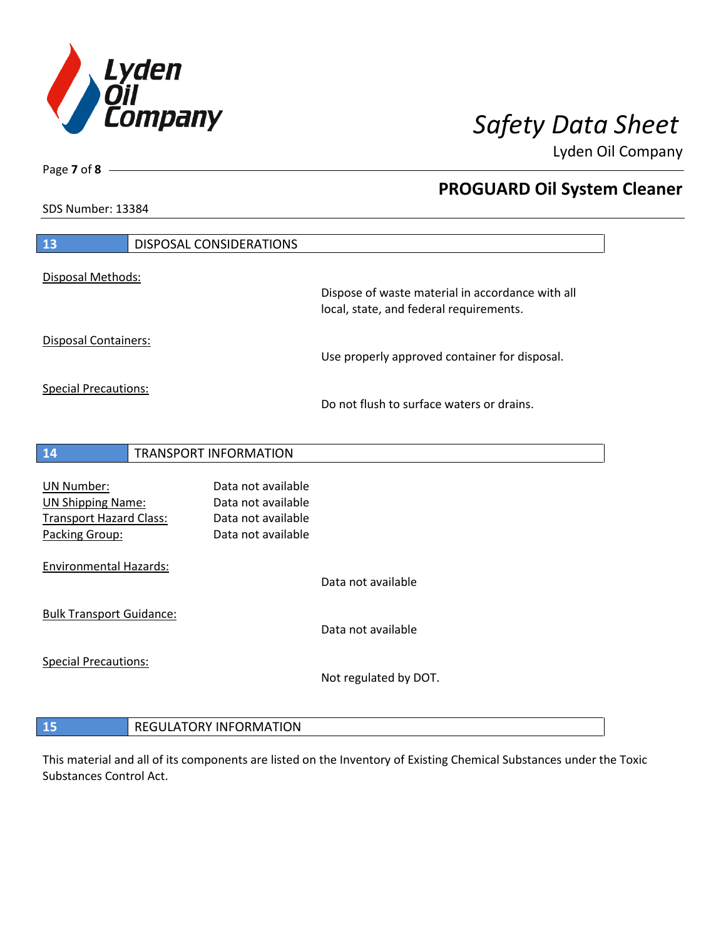

**PROGUARD Oil System Cleaner**

Lyden Oil Company

SDS Number: 13384

Page **7** of **8**

| 13                                                                                                | <b>DISPOSAL CONSIDERATIONS</b> |                                                                                      |                                                                                             |
|---------------------------------------------------------------------------------------------------|--------------------------------|--------------------------------------------------------------------------------------|---------------------------------------------------------------------------------------------|
| Disposal Methods:                                                                                 |                                |                                                                                      | Dispose of waste material in accordance with all<br>local, state, and federal requirements. |
| <b>Disposal Containers:</b>                                                                       |                                |                                                                                      | Use properly approved container for disposal.                                               |
| <b>Special Precautions:</b>                                                                       |                                |                                                                                      | Do not flush to surface waters or drains.                                                   |
| 14                                                                                                | <b>TRANSPORT INFORMATION</b>   |                                                                                      |                                                                                             |
| <b>UN Number:</b><br><b>UN Shipping Name:</b><br><b>Transport Hazard Class:</b><br>Packing Group: |                                | Data not available<br>Data not available<br>Data not available<br>Data not available |                                                                                             |
| <b>Environmental Hazards:</b>                                                                     |                                |                                                                                      | Data not available                                                                          |
| <b>Bulk Transport Guidance:</b>                                                                   |                                |                                                                                      | Data not available                                                                          |
| <b>Special Precautions:</b>                                                                       |                                |                                                                                      | Not regulated by DOT.                                                                       |
|                                                                                                   |                                |                                                                                      |                                                                                             |

**REGULATORY INFORMATION** 

This material and all of its components are listed on the Inventory of Existing Chemical Substances under the Toxic Substances Control Act.